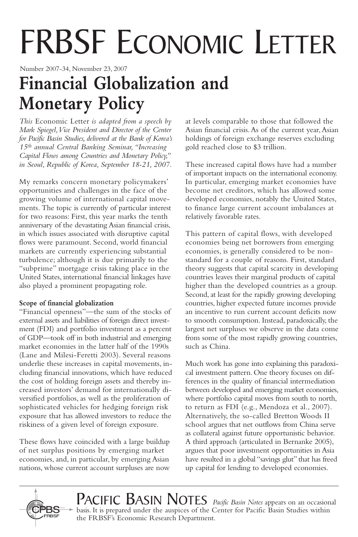# FRBSF ECONOMIC LETTER

Number 2007-34, November 23, 2007

## **Financial Globalization and Monetary Policy**

*This* Economic Letter *is adapted from a speech by Mark Spiegel,Vice President and Director of the Center for Pacific Basin Studies, delivered at the Bank of Korea's 15th annual Central Banking Seminar, "Increasing Capital Flows among Countries and Monetary Policy," in Seoul, Republic of Korea, September 18-21, 2007.*

My remarks concern monetary policymakers' opportunities and challenges in the face of the growing volume of international capital movements. The topic is currently of particular interest for two reasons: First, this year marks the tenth anniversary of the devastating Asian financial crisis, in which issues associated with disruptive capital flows were paramount. Second, world financial markets are currently experiencing substantial turbulence; although it is due primarily to the "subprime" mortgage crisis taking place in the United States, international financial linkages have also played a prominent propagating role.

#### **Scope of financial globalization**

"Financial openness"—the sum of the stocks of external assets and liabilities of foreign direct investment (FDI) and portfolio investment as a percent of GDP—took off in both industrial and emerging market economies in the latter half of the 1990s (Lane and Milesi-Feretti 2003). Several reasons underlie these increases in capital movements, including financial innovations, which have reduced the cost of holding foreign assets and thereby increased investors' demand for internationally diversified portfolios, as well as the proliferation of sophisticated vehicles for hedging foreign risk exposure that has allowed investors to reduce the riskiness of a given level of foreign exposure.

These flows have coincided with a large buildup of net surplus positions by emerging market economies, and, in particular, by emerging Asian nations, whose current account surpluses are now at levels comparable to those that followed the Asian financial crisis.As of the current year,Asian holdings of foreign exchange reserves excluding gold reached close to \$3 trillion.

These increased capital flows have had a number of important impacts on the international economy. In particular, emerging market economies have become net creditors, which has allowed some developed economies, notably the United States, to finance large current account imbalances at relatively favorable rates.

This pattern of capital flows, with developed economies being net borrowers from emerging economies, is generally considered to be nonstandard for a couple of reasons. First, standard theory suggests that capital scarcity in developing countries leaves their marginal products of capital higher than the developed countries as a group. Second, at least for the rapidly growing developing countries, higher expected future incomes provide an incentive to run current account deficits now to smooth consumption. Instead, paradoxically, the largest net surpluses we observe in the data come from some of the most rapidly growing countries, such as China.

Much work has gone into explaining this paradoxical investment pattern. One theory focuses on differences in the quality of financial intermediation between developed and emerging market economies, where portfolio capital moves from south to north, to return as FDI (e.g., Mendoza et al., 2007). Alternatively, the so-called Bretton Woods II school argues that net outflows from China serve as collateral against future opportunistic behavior. A third approach (articulated in Bernanke 2005), argues that poor investment opportunities in Asia have resulted in a global "savings glut" that has freed up capital for lending to developed economies.



PACIFIC BASIN NOTES *Pacific Basin Notes* appears on an occasional basis. It is prepared under the auspices of the Center for Pacific Basin Studies within the FRBSF's Economic Research Department.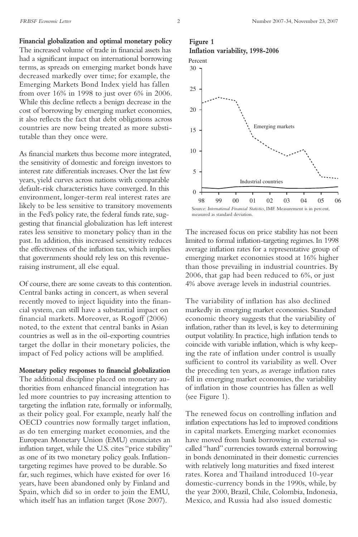**Financial globalization and optimal monetary policy** The increased volume of trade in financial assets has had a significant impact on international borrowing terms, as spreads on emerging market bonds have decreased markedly over time; for example, the Emerging Markets Bond Index yield has fallen from over 16% in 1998 to just over 6% in 2006. While this decline reflects a benign decrease in the cost of borrowing by emerging market economies, it also reflects the fact that debt obligations across countries are now being treated as more substitutable than they once were.

As financial markets thus become more integrated, the sensitivity of domestic and foreign investors to interest rate differentials increases. Over the last few years, yield curves across nations with comparable default-risk characteristics have converged. In this environment, longer-term real interest rates are likely to be less sensitive to transitory movements in the Fed's policy rate, the federal funds rate, suggesting that financial globalization has left interest rates less sensitive to monetary policy than in the past. In addition, this increased sensitivity reduces the effectiveness of the inflation tax, which implies that governments should rely less on this revenueraising instrument, all else equal.

Of course, there are some caveats to this contention. Central banks acting in concert, as when several recently moved to inject liquidity into the financial system, can still have a substantial impact on financial markets. Moreover, as Rogoff (2006) noted, to the extent that central banks in Asian countries as well as in the oil-exporting countries target the dollar in their monetary policies, the impact of Fed policy actions will be amplified.

**Monetary policy responses to financial globalization** The additional discipline placed on monetary authorities from enhanced financial integration has led more countries to pay increasing attention to targeting the inflation rate, formally or informally, as their policy goal. For example, nearly half the OECD countries now formally target inflation, as do ten emerging market economies, and the European Monetary Union (EMU) enunciates an inflation target, while the U.S. cites "price stability" as one of its two monetary policy goals. Inflationtargeting regimes have proved to be durable. So far, such regimes, which have existed for over 16 years, have been abandoned only by Finland and Spain, which did so in order to join the EMU, which itself has an inflation target (Rose 2007).

#### **Figure 1**





The increased focus on price stability has not been limited to formal inflation-targeting regimes.In 1998 average inflation rates for a representative group of emerging market economies stood at 16% higher than those prevailing in industrial countries. By 2006, that gap had been reduced to 6%, or just 4% above average levels in industrial countries.

Measurement is in percent, measured as standard deviation.

The variability of inflation has also declined markedly in emerging market economies. Standard economic theory suggests that the variability of inflation, rather than its level, is key to determining output volatility. In practice, high inflation tends to coincide with variable inflation, which is why keeping the rate of inflation under control is usually sufficient to control its variability as well. Over the preceding ten years, as average inflation rates fell in emerging market economies, the variability of inflation in those countries has fallen as well (see Figure 1).

The renewed focus on controlling inflation and inflation expectations has led to improved conditions in capital markets. Emerging market economies have moved from bank borrowing in external socalled "hard" currencies towards external borrowing in bonds denominated in their domestic currencies with relatively long maturities and fixed interest rates. Korea and Thailand introduced 10-year domestic-currency bonds in the 1990s, while, by the year 2000, Brazil, Chile, Colombia, Indonesia, Mexico, and Russia had also issued domestic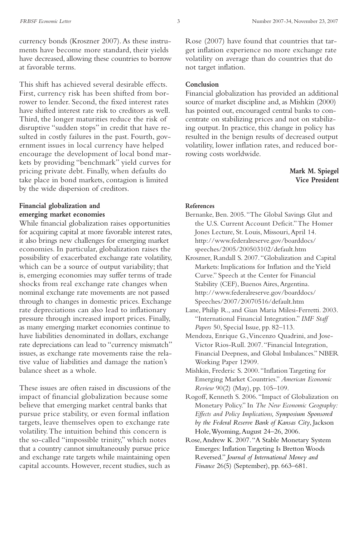currency bonds (Kroszner 2007).As these instruments have become more standard, their yields have decreased, allowing these countries to borrow at favorable terms.

This shift has achieved several desirable effects. First, currency risk has been shifted from borrower to lender. Second, the fixed interest rates have shifted interest rate risk to creditors as well. Third, the longer maturities reduce the risk of disruptive "sudden stops" in credit that have resulted in costly failures in the past. Fourth, government issues in local currency have helped encourage the development of local bond markets by providing "benchmark" yield curves for pricing private debt. Finally, when defaults do take place in bond markets, contagion is limited by the wide dispersion of creditors.

#### **Financial globalization and emerging market economies**

While financial globalization raises opportunities for acquiring capital at more favorable interest rates, it also brings new challenges for emerging market economies. In particular, globalization raises the possibility of exacerbated exchange rate volatility, which can be a source of output variability; that is, emerging economies may suffer terms of trade shocks from real exchange rate changes when nominal exchange rate movements are not passed through to changes in domestic prices. Exchange rate depreciations can also lead to inflationary pressure through increased import prices. Finally, as many emerging market economies continue to have liabilities denominated in dollars, exchange rate depreciations can lead to "currency mismatch" issues, as exchange rate movements raise the relative value of liabilities and damage the nation's balance sheet as a whole.

These issues are often raised in discussions of the impact of financial globalization because some believe that emerging market central banks that pursue price stability, or even formal inflation targets, leave themselves open to exchange rate volatility.The intuition behind this concern is the so-called "impossible trinity," which notes that a country cannot simultaneously pursue price and exchange rate targets while maintaining open capital accounts. However, recent studies, such as

Rose (2007) have found that countries that target inflation experience no more exchange rate volatility on average than do countries that do not target inflation.

#### **Conclusion**

Financial globalization has provided an additional source of market discipline and, as Mishkin (2000) has pointed out, encouraged central banks to concentrate on stabilizing prices and not on stabilizing output. In practice, this change in policy has resulted in the benign results of decreased output volatility, lower inflation rates, and reduced borrowing costs worldwide.

#### **Mark M. Spiegel Vice President**

#### **References**

- Bernanke, Ben. 2005."The Global Savings Glut and the U.S. Current Account Deficit."The Homer Jones Lecture, St. Louis, Missouri,April 14. http://www.federalreserve.gov/boarddocs/ speeches/2005/200503102/default.htm
- Kroszner, Randall S. 2007."Globalization and Capital Markets: Implications for Inflation and theYield Curve." Speech at the Center for Financial Stability (CEF), Buenos Aires, Argentina. http://www.federalreserve.gov/boarddocs/ Speeches/2007/20070516/default.htm
- Lane, Philip R., and Gian Maria Milesi-Ferretti. 2003. "International Financial Integration." *IMF Staff Papers* 50, Special Issue, pp. 82–113.
- Mendoza, Enrique G.,Vincenzo Quadrini, and Jose-Victor Rios-Rull. 2007."Financial Integration, Financial Deepness, and Global Imbalances." NBER Working Paper 12909.
- Mishkin, Frederic S. 2000."Inflation Targeting for Emerging Market Countries." *American Economic Review* 90(2) (May), pp. 105–109.
- Rogoff, Kenneth S. 2006."Impact of Globalization on Monetary Policy." In *The New Economic Geography: Effects and Policy Implications, Symposium Sponsored by the Federal Reserve Bank of Kansas City*, Jackson Hole,Wyoming,August 24–26, 2006.
- Rose,Andrew K. 2007."A Stable Monetary System Emerges: Inflation Targeting Is Bretton Woods Reversed." *Journal of International Money and Finance* 26(5) (September), pp. 663–681.